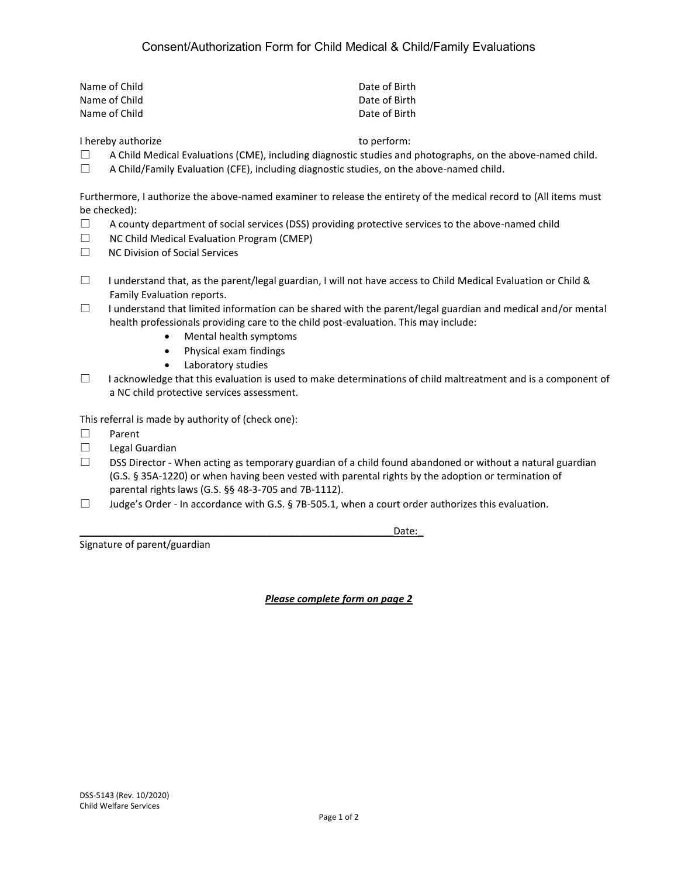| Name of Child | Date of Birth |
|---------------|---------------|
| Name of Child | Date of Birth |
| Name of Child | Date of Birth |

I hereby authorize to perform:

- $\Box$  A Child Medical Evaluations (CME), including diagnostic studies and photographs, on the above-named child.
- $\Box$  A Child/Family Evaluation (CFE), including diagnostic studies, on the above-named child.

Furthermore, I authorize the above-named examiner to release the entirety of the medical record to (All items must be checked):

- $\Box$  A county department of social services (DSS) providing protective services to the above-named child
- ☐ NC Child Medical Evaluation Program (CMEP)
- ☐ NC Division of Social Services
- □ I understand that, as the parent/legal guardian, I will not have access to Child Medical Evaluation or Child & Family Evaluation reports.
- $\Box$  I understand that limited information can be shared with the parent/legal guardian and medical and/or mental health professionals providing care to the child post-evaluation. This may include:
	- Mental health symptoms
	- Physical exam findings
	- Laboratory studies
- $\Box$  I acknowledge that this evaluation is used to make determinations of child maltreatment and is a component of a NC child protective services assessment.

This referral is made by authority of (check one):

- ☐ Parent
- ☐ Legal Guardian
- $\square$  DSS Director When acting as temporary guardian of a child found abandoned or without a natural guardian (G.S. § 35A-1220) or when having been vested with parental rights by the adoption or termination of parental rights laws (G.S. §§ 48-3-705 and 7B-1112).
- $\Box$  Judge's Order In accordance with G.S. § 7B-505.1, when a court order authorizes this evaluation.

Signature of parent/guardian

\_\_\_\_\_\_\_\_\_\_\_\_\_\_\_\_\_\_\_\_\_\_\_\_\_\_\_\_\_\_\_\_\_\_\_\_\_\_\_\_\_\_\_\_\_\_\_\_\_\_\_\_\_\_\_\_\_Date:\_

*Please complete form on page 2*